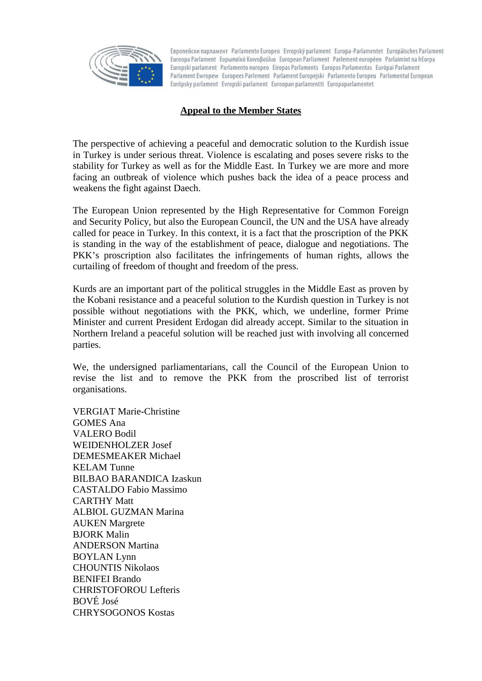

Европейски парламент Parlamento Europeo Evropský parlament Europa-Parlamentet Europäisches Parlament Euroopa Parlament Eupwrigkó Koivoßoúλio European Parliament Parlement européen Parlaimint na hEorpa Europski parlament Parlamento europeo Eiropas Parlaments Europos Parlamentas Európai Parlament Parlament Ewropew Europees Parlement Parlament Europejski Parlamento Europeu Parlamentul European Európsky parlament Evropski parlament Euroopan parlamentti Europaparlamentet

## **Appeal to the Member States**

The perspective of achieving a peaceful and democratic solution to the Kurdish issue in Turkey is under serious threat. Violence is escalating and poses severe risks to the stability for Turkey as well as for the Middle East. In Turkey we are more and more facing an outbreak of violence which pushes back the idea of a peace process and weakens the fight against Daech.

The European Union represented by the High Representative for Common Foreign and Security Policy, but also the European Council, the UN and the USA have already called for peace in Turkey. In this context, it is a fact that the proscription of the PKK is standing in the way of the establishment of peace, dialogue and negotiations. The PKK's proscription also facilitates the infringements of human rights, allows the curtailing of freedom of thought and freedom of the press.

Kurds are an important part of the political struggles in the Middle East as proven by the Kobani resistance and a peaceful solution to the Kurdish question in Turkey is not possible without negotiations with the PKK, which, we underline, former Prime Minister and current President Erdogan did already accept. Similar to the situation in Northern Ireland a peaceful solution will be reached just with involving all concerned parties.

We, the undersigned parliamentarians, call the Council of the European Union to revise the list and to remove the PKK from the proscribed list of terrorist organisations.

VERGIAT Marie-Christine GOMES Ana VALERO Bodil WEIDENHOLZER Josef DEMESMEAKER Michael KELAM Tunne BILBAO BARANDICA Izaskun CASTALDO Fabio Massimo CARTHY Matt ALBIOL GUZMAN Marina AUKEN Margrete BJORK Malin ANDERSON Martina BOYLAN Lynn CHOUNTIS Nikolaos BENIFEI Brando CHRISTOFOROU Lefteris BOVÉ José CHRYSOGONOS Kostas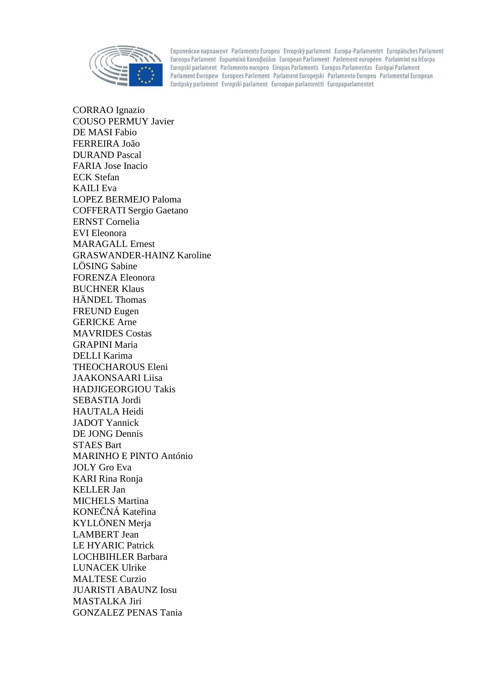

Европейски парламент Parlamento Europeo Evropský parlament Europa-Parlamentet Europäisches Parlament Euroopa Parlament Eupongikó Koivoßoúλio European Parliament Parlement européen Parlaimint na hEorpa Europski parlament Parlamento europeo Eiropas Parlaments Europos Parlamentas Európai Parlament Parlament Ewropew Europees Parlement Parlament Europejski Parlamento Europeu Parlamentul European Európsky parlament Evropski parlament Euroopan parlamentti Europaparlamentet

CORRAO Ignazio COUSO PERMUY Javier DE MASI Fabio FERREIRA João DURAND Pascal FARIA Jose Inacio ECK Stefan KAILI Eva LOPEZ BERMEJO Paloma COFFERATI Sergio Gaetano ERNST Cornelia EVI Eleonora MARAGALL Ernest GRASWANDER-HAINZ Karoline LÖSING Sabine FORENZA Eleonora BUCHNER Klaus HÄNDEL Thomas FREUND Eugen GERICKE Arne MAVRIDES Costas GRAPINI Maria DELLI Karima THEOCHAROUS Eleni JAAKONSAARI Liisa HADJIGEORGIOU Takis SEBASTIA Jordi HAUTALA Heidi JADOT Yannick DE JONG Dennis STAES Bart MARINHO E PINTO António JOLY Gro Eva KARI Rina Ronja KELLER Jan MICHELS Martina KONE NÁ Kate ina KYLLÖNEN Merja LAMBERT Jean LE HYARIC Patrick LOCHBIHLER Barbara LUNACEK Ulrike MALTESE Curzio JUARISTI ABAUNZ Iosu MASTALKA Jiri GONZALEZ PENAS Tania